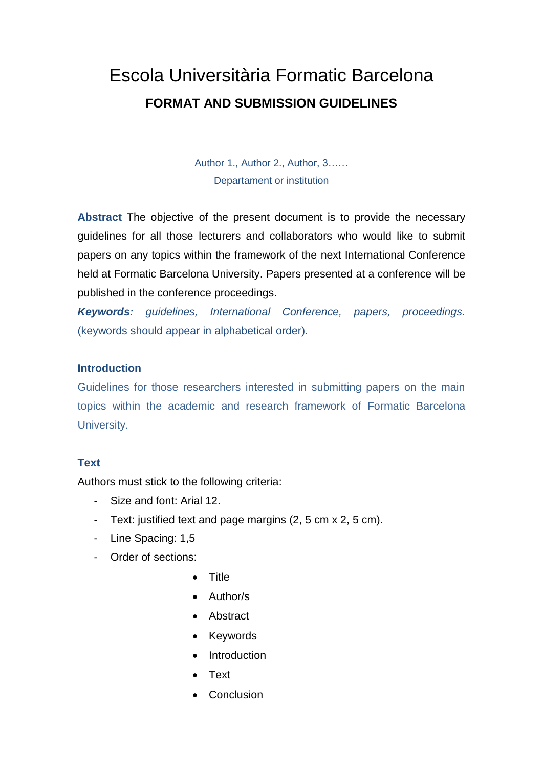# Escola Universitària Formatic Barcelona **FORMAT AND SUBMISSION GUIDELINES**

Author 1., Author 2., Author, 3…… Departament or institution

**Abstract** The objective of the present document is to provide the necessary guidelines for all those lecturers and collaborators who would like to submit papers on any topics within the framework of the next International Conference held at Formatic Barcelona University. Papers presented at a conference will be published in the conference proceedings.

*Keywords: guidelines, International Conference, papers, proceedings.*  (keywords should appear in alphabetical order).

### **Introduction**

Guidelines for those researchers interested in submitting papers on the main topics within the academic and research framework of Formatic Barcelona University.

### **Text**

Authors must stick to the following criteria:

- Size and font: Arial 12.
- Text: justified text and page margins (2, 5 cm x 2, 5 cm).
- Line Spacing: 1,5
- Order of sections:
	- **•** Title
	- Author/s
	- Abstract
	- Keywords
	- Introduction
	- Text
	- Conclusion